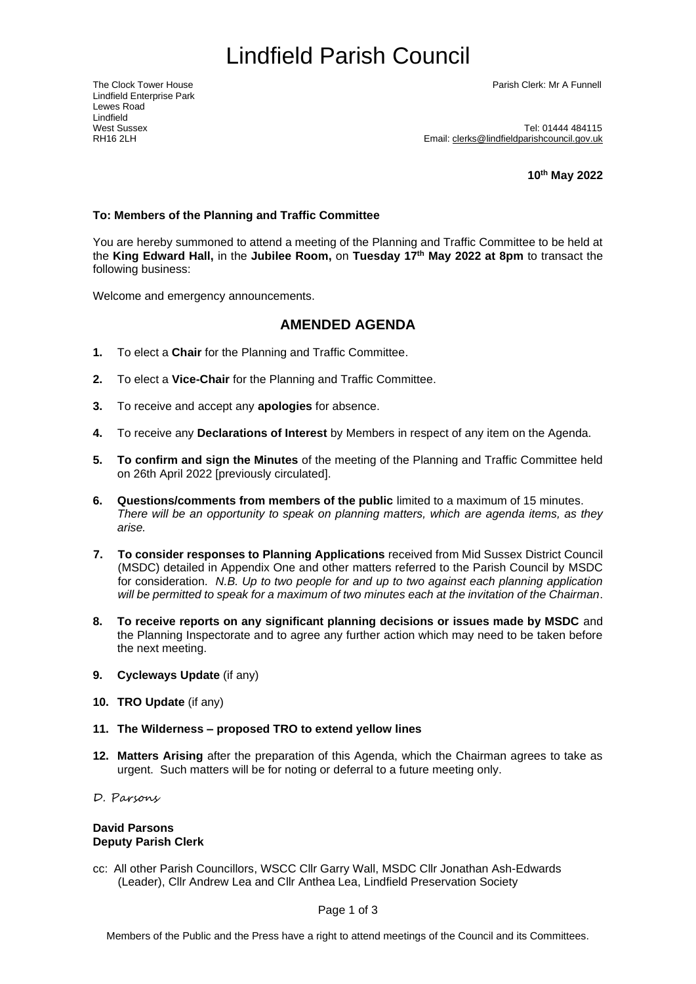# Lindfield Parish Council

Lindfield Enterprise Park Lewes Road Lindfield<br>West Sussex

The Clock Tower House Parish Clerk: Mr A Funnell

West Sussex<br>RH16 2l H<br>RH16 2l H Email: [clerks@lindfieldparishcouncil.gov.uk](mailto:clerks@lindfieldparishcouncil.gov.uk)

**10 th May 2022**

### **To: Members of the Planning and Traffic Committee**

You are hereby summoned to attend a meeting of the Planning and Traffic Committee to be held at the **King Edward Hall,** in the **Jubilee Room,** on **Tuesday 17 th May 2022 at 8pm** to transact the following business:

Welcome and emergency announcements.

## <span id="page-0-0"></span>**AMENDED AGENDA**

- **1.** To elect a **Chair** for the Planning and Traffic Committee.
- **2.** To elect a **Vice-Chair** for the Planning and Traffic Committee.
- **3.** To receive and accept any **apologies** for absence.
- **4.** To receive any **Declarations of Interest** by Members in respect of any item on the Agenda.
- **5. To confirm and sign the Minutes** of the meeting of the Planning and Traffic Committee held on 26th April 2022 [previously circulated].
- **6. Questions/comments from members of the public** limited to a maximum of 15 minutes. *There will be an opportunity to speak on planning matters, which are agenda items, as they arise.*
- **7. To consider responses to Planning Applications** received from Mid Sussex District Council (MSDC) detailed in Appendix One and other matters referred to the Parish Council by MSDC for consideration. *N.B. Up to two people for and up to two against each planning application will be permitted to speak for a maximum of two minutes each at the invitation of the Chairman*.
- **8. To receive reports on any significant planning decisions or issues made by MSDC** and the Planning Inspectorate and to agree any further action which may need to be taken before the next meeting.
- **9. Cycleways Update** (if any)
- **10. TRO Update** (if any)
- **11. The Wilderness – proposed TRO to extend yellow lines**
- **12. Matters Arising** after the preparation of this Agenda, which the Chairman agrees to take as urgent. Such matters will be for noting or deferral to a future meeting only.
- D. Parsons

#### **David Parsons Deputy Parish Clerk**

cc: All other Parish Councillors, WSCC Cllr Garry Wall, MSDC Cllr Jonathan Ash-Edwards (Leader), Cllr Andrew Lea and Cllr Anthea Lea, Lindfield Preservation Society

Page 1 of 3

Members of the Public and the Press have a right to attend meetings of the Council and its Committees.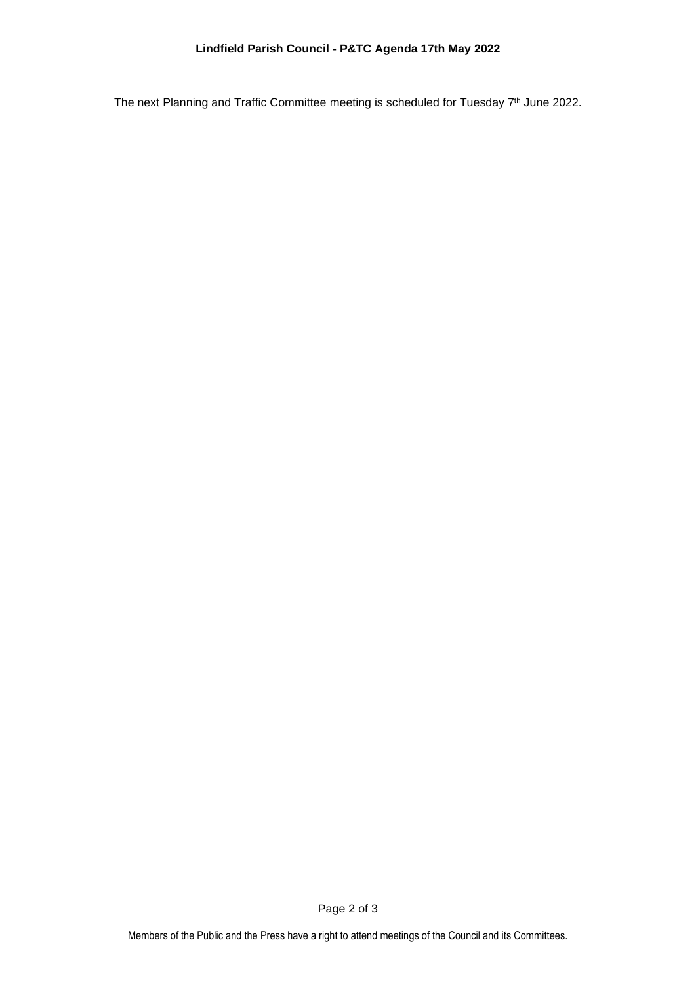The next Planning and Traffic Committee meeting is scheduled for Tuesday 7<sup>th</sup> June 2022.